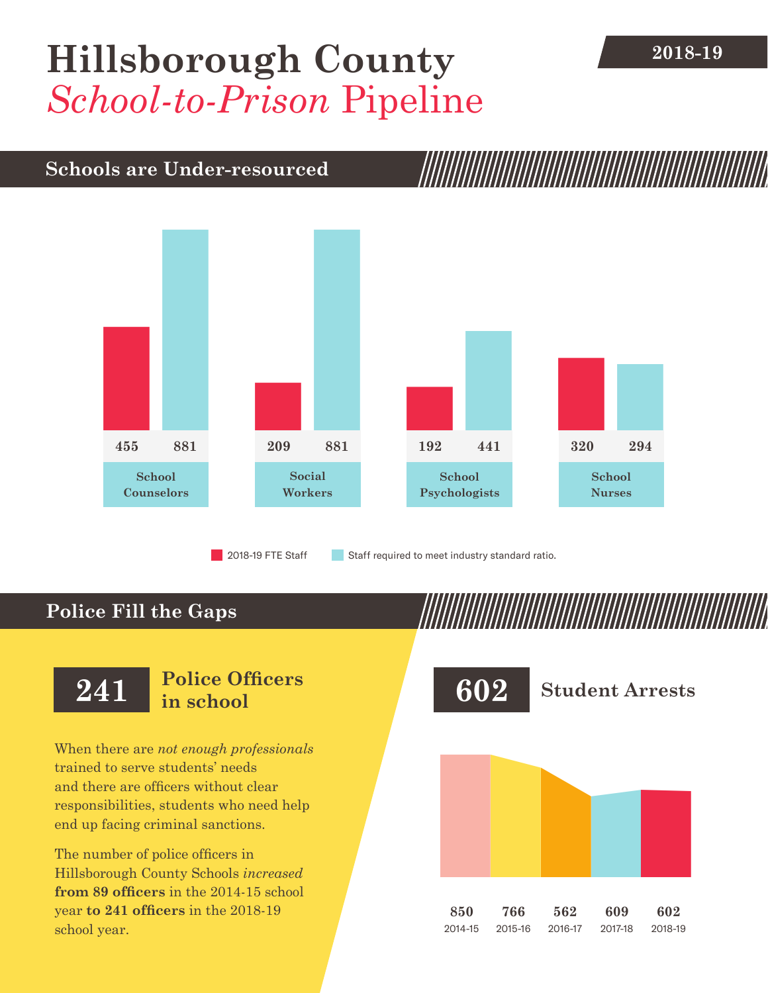## [Hillsborough County](DBF_County) 2018-19 *School-to-Prison* Pipeline

## **Schools are Under-resourced**



2018-19 FTE Staff **Staff required to meet industry standard ratio.** 

## **Police Fill the Gaps**

When there are *not enough professionals* trained to serve students' needs and there are officers without clear responsibilities, students who need help end up facing criminal sanctions.

The number of police officers in [Hillsborough County](DBF_County) Schools *increased* **from [89](DBF_PO1415) officers** in the 2014-15 school year **to [241](DBF_PO) officers** in the 2018-19 school year.